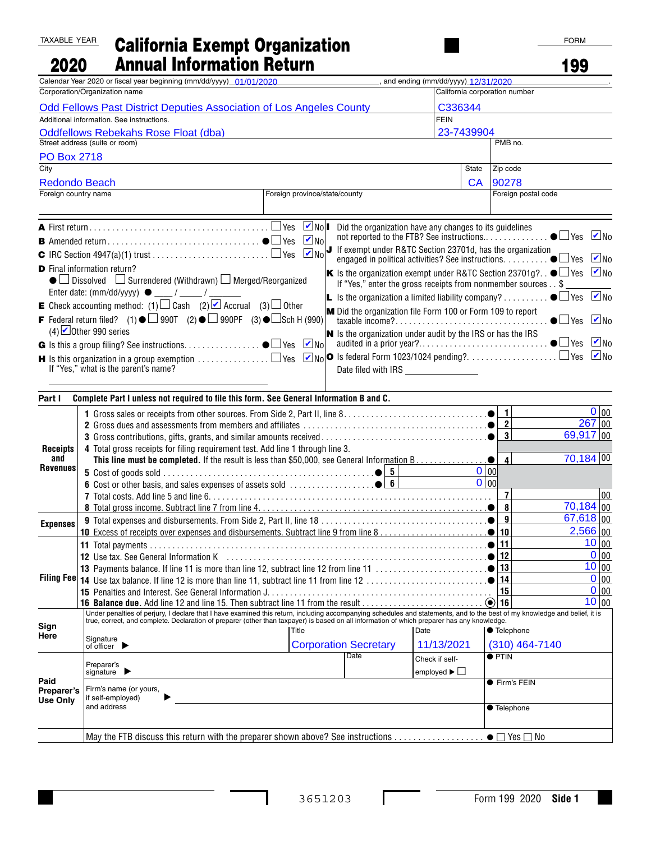## TAXABLE YEAR 2020 California Exempt Organization Annual Information Return

| 2020                                                                                                                                                                                                    | <b>Annual Information Return</b>                                                                                                                                                                                                  |                               |                                                         |                                    |              |                                  | 199                            |                   |
|---------------------------------------------------------------------------------------------------------------------------------------------------------------------------------------------------------|-----------------------------------------------------------------------------------------------------------------------------------------------------------------------------------------------------------------------------------|-------------------------------|---------------------------------------------------------|------------------------------------|--------------|----------------------------------|--------------------------------|-------------------|
|                                                                                                                                                                                                         | Calendar Year 2020 or fiscal year beginning (mm/dd/yyyy) 01/01/2020                                                                                                                                                               |                               |                                                         | and ending (mm/dd/yyyy) 12/31/2020 |              |                                  |                                |                   |
| Corporation/Organization name                                                                                                                                                                           |                                                                                                                                                                                                                                   |                               |                                                         |                                    |              | California corporation number    |                                |                   |
| <b>Odd Fellows Past District Deputies Association of Los Angeles County</b><br>C336344<br>Additional information. See instructions.<br><b>FEIN</b>                                                      |                                                                                                                                                                                                                                   |                               |                                                         |                                    |              |                                  |                                |                   |
| 23-7439904<br><b>Oddfellows Rebekahs Rose Float (dba)</b>                                                                                                                                               |                                                                                                                                                                                                                                   |                               |                                                         |                                    |              |                                  |                                |                   |
| Street address (suite or room)                                                                                                                                                                          |                                                                                                                                                                                                                                   |                               |                                                         |                                    | PMB no.      |                                  |                                |                   |
| <b>PO Box 2718</b>                                                                                                                                                                                      |                                                                                                                                                                                                                                   |                               |                                                         |                                    |              |                                  |                                |                   |
| $\overline{\text{City}}$                                                                                                                                                                                |                                                                                                                                                                                                                                   |                               |                                                         |                                    | <b>State</b> | Zip code                         |                                |                   |
| <b>Redondo Beach</b>                                                                                                                                                                                    |                                                                                                                                                                                                                                   |                               |                                                         |                                    | <b>CA</b>    | 90278                            |                                |                   |
| Foreign country name                                                                                                                                                                                    |                                                                                                                                                                                                                                   | Foreign province/state/county |                                                         |                                    |              | Foreign postal code              |                                |                   |
|                                                                                                                                                                                                         |                                                                                                                                                                                                                                   |                               |                                                         |                                    |              |                                  |                                |                   |
|                                                                                                                                                                                                         |                                                                                                                                                                                                                                   | $\blacksquare$ No             | Did the organization have any changes to its guidelines |                                    |              |                                  |                                |                   |
|                                                                                                                                                                                                         |                                                                                                                                                                                                                                   |                               |                                                         |                                    |              |                                  |                                |                   |
| $\boxed{\blacksquare}$ No $\boxed{\blacksquare}$ If exempt under R&TC Section 23701d, has the organization<br>engaged in political activities? See instructions. $\ldots$ $\ldots$ $\bullet$ $\Box$ Yes |                                                                                                                                                                                                                                   |                               |                                                         |                                    |              |                                  |                                | $\vee$ No         |
| <b>D</b> Final information return?<br>K Is the organization exempt under R&TC Section 23701g?. . $\bullet \Box$ Yes                                                                                     |                                                                                                                                                                                                                                   |                               |                                                         |                                    |              |                                  |                                | $\blacksquare$ No |
|                                                                                                                                                                                                         | $\bullet$ Dissolved $\Box$ Surrendered (Withdrawn) $\Box$ Merged/Reorganized<br>If "Yes," enter the gross receipts from nonmember sources\$                                                                                       |                               |                                                         |                                    |              |                                  |                                |                   |
| <b>L</b> Is the organization a limited liability company? $\bullet$ $\square$ Yes $\square$ No<br><b>E</b> Check accounting method: (1) $\Box$ Cash (2) $\Box$ Accrual (3) $\Box$ Other                 |                                                                                                                                                                                                                                   |                               |                                                         |                                    |              |                                  |                                |                   |
| M Did the organization file Form 100 or Form 109 to report<br><b>F</b> Federal return filed? (1) ● $\Box$ 990T (2) ● $\Box$ 990PF (3) ● $\Box$ Sch H (990)                                              |                                                                                                                                                                                                                                   |                               |                                                         |                                    |              |                                  | $\bullet$ $\Box$ Yes $\Box$ No |                   |
| (4) $\Box$ Other 990 series<br>$\vert$ S the organization under audit by the IRS or has the IRS                                                                                                         |                                                                                                                                                                                                                                   |                               |                                                         |                                    |              |                                  |                                |                   |
|                                                                                                                                                                                                         |                                                                                                                                                                                                                                   | $\blacksquare$ No             |                                                         |                                    |              |                                  |                                |                   |
|                                                                                                                                                                                                         | <b>H</b> Is this organization in a group exemption $\ldots\ldots\ldots\ldots\Box$ Yes $\,\blacksquare\,\textsf{No} \mathbf{O}\,$ Is federal Form 1023/1024 pending?. $\ldots\ldots\ldots\ldots\ldots\Box$ Yes $\,\blacksquare$ No |                               |                                                         |                                    |              |                                  |                                |                   |
|                                                                                                                                                                                                         | If "Yes," what is the parent's name?                                                                                                                                                                                              |                               | Date filed with IRS _________________                   |                                    |              |                                  |                                |                   |
|                                                                                                                                                                                                         |                                                                                                                                                                                                                                   |                               |                                                         |                                    |              |                                  |                                |                   |
| Part I                                                                                                                                                                                                  | Complete Part I unless not required to file this form. See General Information B and C.                                                                                                                                           |                               |                                                         |                                    |              |                                  |                                |                   |
|                                                                                                                                                                                                         |                                                                                                                                                                                                                                   |                               |                                                         |                                    |              | $\overline{1}$                   |                                | $0 _{00}$         |
| <b>Receipts</b>                                                                                                                                                                                         |                                                                                                                                                                                                                                   |                               |                                                         |                                    |              | $\overline{2}$<br>$\overline{3}$ | $\overline{69}$ , 917   00     | $267$ 00          |
|                                                                                                                                                                                                         | 4 Total gross receipts for filing requirement test. Add line 1 through line 3.                                                                                                                                                    |                               |                                                         |                                    |              |                                  |                                |                   |
| and                                                                                                                                                                                                     |                                                                                                                                                                                                                                   |                               |                                                         |                                    |              | $\overline{\mathbf{4}}$          | $70,184$ 00                    |                   |
| <b>Revenues</b>                                                                                                                                                                                         |                                                                                                                                                                                                                                   |                               |                                                         |                                    | 0 00         |                                  |                                |                   |
|                                                                                                                                                                                                         |                                                                                                                                                                                                                                   |                               |                                                         |                                    | O   00       |                                  |                                |                   |
|                                                                                                                                                                                                         |                                                                                                                                                                                                                                   |                               |                                                         |                                    |              | $\overline{7}$                   | $\overline{70,184}$ 00         | 00                |
|                                                                                                                                                                                                         |                                                                                                                                                                                                                                   |                               |                                                         |                                    |              | 8<br>$\overline{9}$              | $\overline{67,618}$ 00         |                   |
| <b>Expenses</b>                                                                                                                                                                                         | 10 Excess of receipts over expenses and disbursements. Subtract line 9 from line 8 [10] Excess of receipts over expenses and disbursements. Subtract line 9 from line 8 [10]                                                      |                               |                                                         |                                    |              | 10                               |                                | $2,566$ 00        |
|                                                                                                                                                                                                         |                                                                                                                                                                                                                                   |                               |                                                         |                                    |              | 11                               |                                | 10 00             |
| Filing Fee                                                                                                                                                                                              |                                                                                                                                                                                                                                   |                               |                                                         |                                    |              | 12                               |                                | 0 00              |
|                                                                                                                                                                                                         |                                                                                                                                                                                                                                   |                               |                                                         |                                    |              | 13                               |                                | 10 00             |
|                                                                                                                                                                                                         |                                                                                                                                                                                                                                   |                               |                                                         |                                    |              | 14<br>15                         |                                | 0 00<br>$0 _{00}$ |
|                                                                                                                                                                                                         | 16 Balance due. Add line 12 and line 15. Then subtract line 11 from the result                                                                                                                                                    |                               |                                                         |                                    |              | $\odot$ 16                       |                                | 10 00             |
|                                                                                                                                                                                                         | Under penalties of perjury, I declare that I have examined this return, including accompanying schedules and statements, and to the best of my knowledge and belief, it is                                                        |                               |                                                         |                                    |              |                                  |                                |                   |
| Sign<br>Here                                                                                                                                                                                            | true, correct, and complete. Declaration of preparer (other than taxpayer) is based on all information of which preparer has any knowledge.<br>Title<br>Date                                                                      |                               |                                                         |                                    |              | ● Telephone                      |                                |                   |
|                                                                                                                                                                                                         | Signature<br>of officer                                                                                                                                                                                                           |                               | <b>Corporation Secretary</b>                            | 11/13/2021                         |              | $(310)$ 464-7140                 |                                |                   |
|                                                                                                                                                                                                         |                                                                                                                                                                                                                                   |                               | Date                                                    | Check if self-                     |              | $\bullet$ PTIN                   |                                |                   |
|                                                                                                                                                                                                         | Preparer's<br>signature $\blacktriangleright$                                                                                                                                                                                     |                               |                                                         | employed $\blacktriangleright$     |              |                                  |                                |                   |
| Paid<br>Preparer's                                                                                                                                                                                      | Firm's name (or yours,                                                                                                                                                                                                            |                               |                                                         |                                    |              | ● Firm's FEIN                    |                                |                   |
| Use Onlv                                                                                                                                                                                                | if self-employed)                                                                                                                                                                                                                 |                               |                                                         |                                    |              |                                  |                                |                   |
|                                                                                                                                                                                                         | and address                                                                                                                                                                                                                       |                               |                                                         |                                    |              | ● Telephone                      |                                |                   |
|                                                                                                                                                                                                         |                                                                                                                                                                                                                                   |                               |                                                         |                                    |              |                                  |                                |                   |

May the FTB discuss this return with the preparer shown above? See instructions  $\ldots \ldots \ldots \ldots \bullet \Box$  Yes  $\Box$  No

I